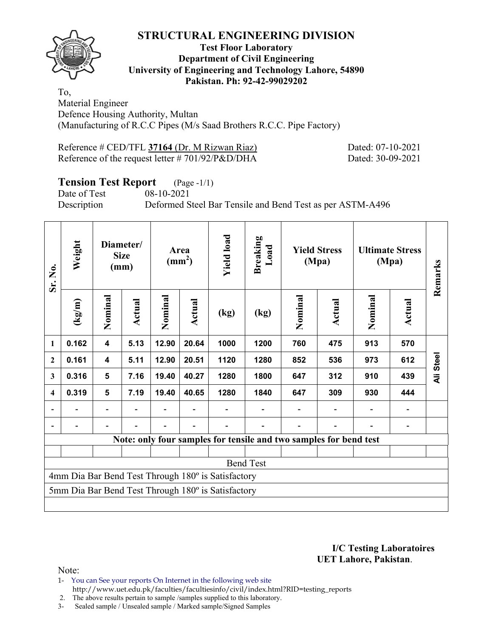

#### **Test Floor Laboratory Department of Civil Engineering University of Engineering and Technology Lahore, 54890 Pakistan. Ph: 92-42-99029202**

To, Material Engineer Defence Housing Authority, Multan (Manufacturing of R.C.C Pipes (M/s Saad Brothers R.C.C. Pipe Factory)

| Reference # CED/TFL 37164 (Dr. M Rizwan Riaz)        |  |
|------------------------------------------------------|--|
| Reference of the request letter $\# 701/92/P\&D/DHA$ |  |

Dated: 07-10-2021 Dated: 30-09-2021

# **Tension Test Report** (Page -1/1)

Date of Test 08-10-2021 Description Deformed Steel Bar Tensile and Bend Test as per ASTM-A496

| Sr. No.                                            | Weight                                             | Diameter/<br><b>Size</b><br>(mm) |        | Area<br>$\text{(mm}^2)$ |        | <b>Yield load</b> | <b>Breaking</b><br>Load                                           |         | <b>Yield Stress</b><br>(Mpa) |         | <b>Ultimate Stress</b><br>(Mpa) | Remarks   |  |
|----------------------------------------------------|----------------------------------------------------|----------------------------------|--------|-------------------------|--------|-------------------|-------------------------------------------------------------------|---------|------------------------------|---------|---------------------------------|-----------|--|
|                                                    | (kg/m)                                             | Nominal                          | Actual | Nominal                 | Actual | (kg)              | (kg)                                                              | Nominal | Actual                       | Nominal | Actual                          |           |  |
| 1                                                  | 0.162                                              | $\overline{\mathbf{4}}$          | 5.13   | 12.90                   | 20.64  | 1000              | 1200                                                              | 760     | 475                          | 913     | 570                             |           |  |
| $\boldsymbol{2}$                                   | 0.161                                              | $\overline{\mathbf{4}}$          | 5.11   | 12.90                   | 20.51  | 1120              | 1280                                                              | 852     | 536                          | 973     | 612                             | Ali Steel |  |
| $\overline{\mathbf{3}}$                            | 0.316                                              | $5\phantom{1}$                   | 7.16   | 19.40                   | 40.27  | 1280              | 1800                                                              | 647     | 312                          | 910     | 439                             |           |  |
| 4                                                  | 0.319                                              | 5                                | 7.19   | 19.40                   | 40.65  | 1280              | 1840                                                              | 647     | 309                          | 930     | 444                             |           |  |
|                                                    |                                                    |                                  |        |                         |        |                   |                                                                   |         |                              |         |                                 |           |  |
|                                                    |                                                    |                                  |        |                         |        |                   |                                                                   |         |                              |         |                                 |           |  |
|                                                    |                                                    |                                  |        |                         |        |                   | Note: only four samples for tensile and two samples for bend test |         |                              |         |                                 |           |  |
|                                                    |                                                    |                                  |        |                         |        |                   |                                                                   |         |                              |         |                                 |           |  |
|                                                    |                                                    |                                  |        |                         |        |                   | <b>Bend Test</b>                                                  |         |                              |         |                                 |           |  |
| 4mm Dia Bar Bend Test Through 180° is Satisfactory |                                                    |                                  |        |                         |        |                   |                                                                   |         |                              |         |                                 |           |  |
|                                                    | 5mm Dia Bar Bend Test Through 180° is Satisfactory |                                  |        |                         |        |                   |                                                                   |         |                              |         |                                 |           |  |
|                                                    |                                                    |                                  |        |                         |        |                   |                                                                   |         |                              |         |                                 |           |  |

**I/C Testing Laboratoires UET Lahore, Pakistan**.

- 1- You can See your reports On Internet in the following web site http://www.uet.edu.pk/faculties/facultiesinfo/civil/index.html?RID=testing\_reports
- 2. The above results pertain to sample /samples supplied to this laboratory.
- 3- Sealed sample / Unsealed sample / Marked sample/Signed Samples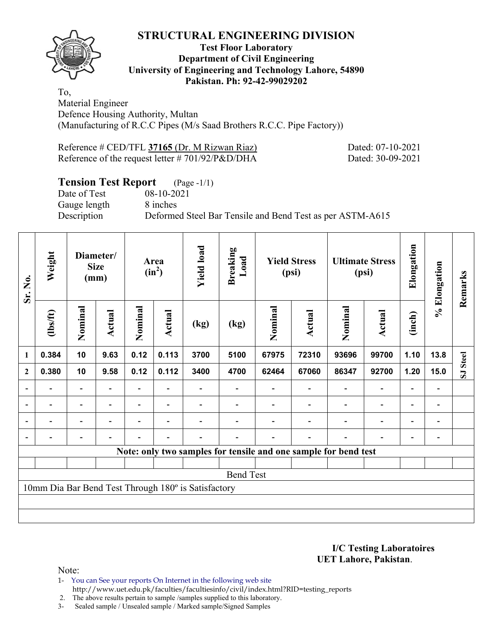

#### **Test Floor Laboratory Department of Civil Engineering University of Engineering and Technology Lahore, 54890 Pakistan. Ph: 92-42-99029202**

To, Material Engineer Defence Housing Authority, Multan (Manufacturing of R.C.C Pipes (M/s Saad Brothers R.C.C. Pipe Factory))

| Reference # CED/TFL 37165 (Dr. M Rizwan Riaz)   |  |  |
|-------------------------------------------------|--|--|
| Reference of the request letter #701/92/P&D/DHA |  |  |

Dated: 07-10-2021 Dated: 30-09-2021

# **Tension Test Report** (Page -1/1)

Date of Test 08-10-2021 Gauge length 8 inches

Description Deformed Steel Bar Tensile and Bend Test as per ASTM-A615

| Sr. No.          | Weight                                              |                          | Diameter/<br><b>Size</b><br>(mm) |                | Area<br>$(in^2)$         | <b>Yield load</b> | <b>Breaking</b><br>Load                                         |         | <b>Yield Stress</b><br>(psi) |                          | <b>Ultimate Stress</b><br>(psi) | Elongation               | % Elongation                 | Remarks  |
|------------------|-----------------------------------------------------|--------------------------|----------------------------------|----------------|--------------------------|-------------------|-----------------------------------------------------------------|---------|------------------------------|--------------------------|---------------------------------|--------------------------|------------------------------|----------|
|                  | (1bs/ft)                                            | Nominal                  | Actual                           | Nominal        | Actual                   | (kg)              | (kg)                                                            | Nominal | <b>Actual</b>                | Nominal                  | <b>Actual</b>                   | (inch)                   |                              |          |
| $\mathbf{1}$     | 0.384                                               | 10                       | 9.63                             | 0.12           | 0.113                    | 3700              | 5100                                                            | 67975   | 72310                        | 93696                    | 99700                           | 1.10                     | 13.8                         |          |
| $\boldsymbol{2}$ | 0.380                                               | 10                       | 9.58                             | 0.12           | 0.112                    | 3400              | 4700                                                            | 62464   | 67060                        | 86347                    | 92700                           | 1.20                     | 15.0                         | SJ Steel |
| $\blacksquare$   |                                                     | $\overline{\phantom{a}}$ |                                  |                |                          |                   |                                                                 |         |                              | $\overline{\phantom{a}}$ | $\overline{\phantom{a}}$        | $\overline{\phantom{0}}$ | $\qquad \qquad \blacksquare$ |          |
| $\blacksquare$   | Ξ.                                                  | $\overline{\phantom{a}}$ | $\blacksquare$                   | Ξ.             | $\overline{\phantom{a}}$ |                   |                                                                 |         |                              | $\blacksquare$           | $\overline{\phantom{a}}$        | $\overline{\phantom{a}}$ | $\overline{\phantom{a}}$     |          |
|                  | $\overline{\phantom{0}}$                            | Ξ.                       | $\blacksquare$                   | $\blacksquare$ | $\overline{\phantom{a}}$ |                   |                                                                 |         |                              | $\blacksquare$           | $\overline{\phantom{a}}$        | Ξ.                       | $\qquad \qquad \blacksquare$ |          |
|                  |                                                     | $\overline{\phantom{0}}$ | $\blacksquare$                   |                | $\blacksquare$           |                   |                                                                 |         | $\overline{\phantom{a}}$     |                          | $\overline{\phantom{0}}$        | $\blacksquare$           | $\overline{\phantom{0}}$     |          |
|                  |                                                     |                          |                                  |                |                          |                   | Note: only two samples for tensile and one sample for bend test |         |                              |                          |                                 |                          |                              |          |
|                  |                                                     |                          |                                  |                |                          |                   |                                                                 |         |                              |                          |                                 |                          |                              |          |
|                  |                                                     |                          |                                  |                |                          |                   | <b>Bend Test</b>                                                |         |                              |                          |                                 |                          |                              |          |
|                  | 10mm Dia Bar Bend Test Through 180° is Satisfactory |                          |                                  |                |                          |                   |                                                                 |         |                              |                          |                                 |                          |                              |          |
|                  |                                                     |                          |                                  |                |                          |                   |                                                                 |         |                              |                          |                                 |                          |                              |          |
|                  |                                                     |                          |                                  |                |                          |                   |                                                                 |         |                              |                          |                                 |                          |                              |          |

**I/C Testing Laboratoires UET Lahore, Pakistan**.

Note:

1- You can See your reports On Internet in the following web site http://www.uet.edu.pk/faculties/facultiesinfo/civil/index.html?RID=testing\_reports

2. The above results pertain to sample /samples supplied to this laboratory.

3- Sealed sample / Unsealed sample / Marked sample/Signed Samples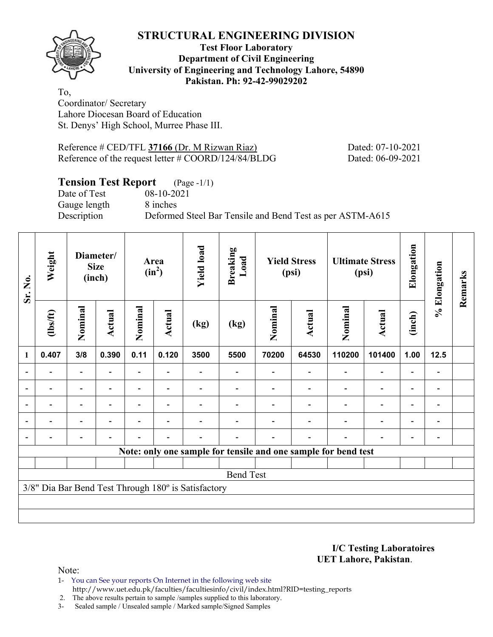

#### **Test Floor Laboratory Department of Civil Engineering University of Engineering and Technology Lahore, 54890 Pakistan. Ph: 92-42-99029202**

To, Coordinator/ Secretary Lahore Diocesan Board of Education St. Denys' High School, Murree Phase III.

Reference # CED/TFL **37166** (Dr. M Rizwan Riaz) Dated: 07-10-2021 Reference of the request letter # COORD/124/84/BLDG Dated: 06-09-2021

## **Tension Test Report** (Page -1/1)

Date of Test 08-10-2021 Gauge length 8 inches

Description Deformed Steel Bar Tensile and Bend Test as per ASTM-A615

| Sr. No.        | Weight           |                          | Diameter/<br><b>Size</b><br>(inch) |                | Area<br>$(in^2)$         | <b>Yield load</b>                                   | <b>Breaking</b><br>Load |         | <b>Yield Stress</b><br>(psi) |                                                                | <b>Ultimate Stress</b><br>(psi) | Elongation               | % Elongation             | Remarks |
|----------------|------------------|--------------------------|------------------------------------|----------------|--------------------------|-----------------------------------------------------|-------------------------|---------|------------------------------|----------------------------------------------------------------|---------------------------------|--------------------------|--------------------------|---------|
|                | $\frac{2}{10}$   | Nominal                  | Actual                             | Nominal        | Actual                   | (kg)                                                | (kg)                    | Nominal | Actual                       | Nominal                                                        | Actual                          | (inch)                   |                          |         |
| $\mathbf{1}$   | 0.407            | 3/8                      | 0.390                              | 0.11           | 0.120                    | 3500                                                | 5500                    | 70200   | 64530                        | 110200                                                         | 101400                          | 1.00                     | 12.5                     |         |
|                |                  |                          |                                    |                |                          |                                                     |                         |         |                              |                                                                |                                 |                          |                          |         |
|                |                  | $\overline{\phantom{0}}$ |                                    |                |                          |                                                     |                         |         |                              |                                                                | $\overline{\phantom{0}}$        | $\overline{\phantom{0}}$ |                          |         |
| $\blacksquare$ |                  | Ξ.                       |                                    |                |                          |                                                     |                         |         |                              |                                                                | $\blacksquare$                  | $\overline{\phantom{0}}$ | $\overline{\phantom{0}}$ |         |
|                | $\blacksquare$   | Ξ.                       | $\overline{\phantom{0}}$           | $\blacksquare$ | $\blacksquare$           |                                                     |                         |         |                              |                                                                | $\overline{\phantom{0}}$        | $\overline{\phantom{0}}$ | $\overline{\phantom{0}}$ |         |
|                |                  | $\blacksquare$           |                                    |                | $\overline{\phantom{a}}$ |                                                     |                         |         | ۰                            |                                                                | $\overline{\phantom{0}}$        | ۰                        |                          |         |
|                |                  |                          |                                    |                |                          |                                                     |                         |         |                              | Note: only one sample for tensile and one sample for bend test |                                 |                          |                          |         |
|                |                  |                          |                                    |                |                          |                                                     |                         |         |                              |                                                                |                                 |                          |                          |         |
|                | <b>Bend Test</b> |                          |                                    |                |                          |                                                     |                         |         |                              |                                                                |                                 |                          |                          |         |
|                |                  |                          |                                    |                |                          | 3/8" Dia Bar Bend Test Through 180° is Satisfactory |                         |         |                              |                                                                |                                 |                          |                          |         |
|                |                  |                          |                                    |                |                          |                                                     |                         |         |                              |                                                                |                                 |                          |                          |         |
|                |                  |                          |                                    |                |                          |                                                     |                         |         |                              |                                                                |                                 |                          |                          |         |

#### **I/C Testing Laboratoires UET Lahore, Pakistan**.

- 1- You can See your reports On Internet in the following web site http://www.uet.edu.pk/faculties/facultiesinfo/civil/index.html?RID=testing\_reports
- 2. The above results pertain to sample /samples supplied to this laboratory.
- 3- Sealed sample / Unsealed sample / Marked sample/Signed Samples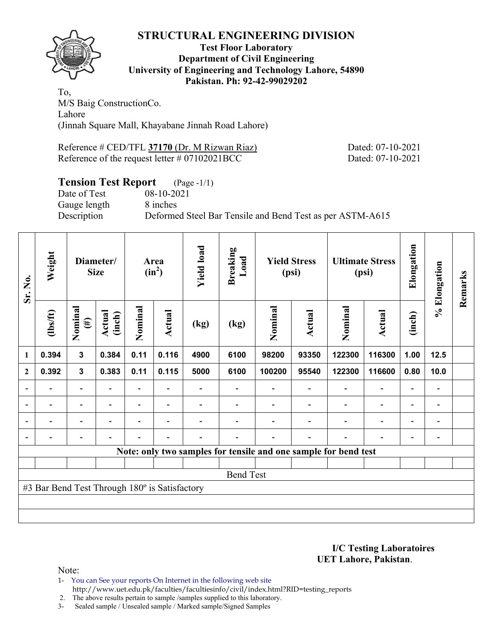

#### **Test Floor Laboratory Department of Civil Engineering University of Engineering and Technology Lahore, 54890 Pakistan. Ph: 92-42-99029202**

To, M/S Baig ConstructionCo. Lahore (Jinnah Square Mall, Khayabane Jinnah Road Lahore)

Reference # CED/TFL **37170** (Dr. M Rizwan Riaz) Dated: 07-10-2021 Reference of the request letter # 07102021BCC Dated: 07-10-2021

# **Tension Test Report** (Page -1/1)

Date of Test 08-10-2021 Gauge length 8 inches

Description Deformed Steel Bar Tensile and Bend Test as per ASTM-A615

| Sr. No.        | Weight                                        |                          | Diameter/<br><b>Size</b> | Area<br>$(in^2)$ |                          | <b>Yield load</b> | <b>Breaking</b><br>Load | <b>Yield Stress</b><br>(psi)                                    |                          |                          | <b>Ultimate Stress</b><br>(psi) |                          | % Elongation                 | Remarks |
|----------------|-----------------------------------------------|--------------------------|--------------------------|------------------|--------------------------|-------------------|-------------------------|-----------------------------------------------------------------|--------------------------|--------------------------|---------------------------------|--------------------------|------------------------------|---------|
|                | $\frac{2}{10}$                                | Nominal<br>$(\#)$        | <b>Actual</b><br>(inch)  | Nominal          | Actual                   | (kg)              | (kg)                    | Nominal                                                         | Actual                   | Nominal                  | <b>Actual</b>                   | (inch)                   |                              |         |
| 1              | 0.394                                         | $\mathbf{3}$             | 0.384                    | 0.11             | 0.116                    | 4900              | 6100                    | 98200                                                           | 93350                    | 122300                   | 116300                          | 1.00                     | $12.5$                       |         |
| $\mathbf{2}$   | 0.392                                         | $\mathbf{3}$             | 0.383                    | 0.11             | 0.115                    | 5000              | 6100                    | 100200                                                          | 95540                    | 122300                   | 116600                          | 0.80                     | 10.0                         |         |
|                |                                               | $\overline{\phantom{0}}$ |                          |                  |                          |                   |                         |                                                                 |                          |                          | $\overline{\phantom{0}}$        | $\overline{\phantom{0}}$ | $\qquad \qquad \blacksquare$ |         |
|                |                                               | $\overline{\phantom{0}}$ |                          |                  | ۰                        |                   |                         |                                                                 |                          |                          | $\overline{\phantom{0}}$        | $\overline{\phantom{0}}$ | $\qquad \qquad \blacksquare$ |         |
| $\blacksquare$ | $\overline{\phantom{0}}$                      | $\overline{\phantom{a}}$ | $\blacksquare$           | $\blacksquare$   | $\overline{\phantom{a}}$ |                   |                         |                                                                 | $\overline{\phantom{0}}$ | $\overline{\phantom{a}}$ | $\overline{\phantom{a}}$        | $\overline{\phantom{a}}$ | $\blacksquare$               |         |
|                | $\overline{\phantom{0}}$                      | $\overline{\phantom{a}}$ |                          |                  | ٠                        |                   |                         |                                                                 | $\overline{\phantom{0}}$ | ٠                        | $\qquad \qquad \blacksquare$    | $\overline{\phantom{a}}$ | $\qquad \qquad \blacksquare$ |         |
|                |                                               |                          |                          |                  |                          |                   |                         | Note: only two samples for tensile and one sample for bend test |                          |                          |                                 |                          |                              |         |
|                |                                               |                          |                          |                  |                          |                   |                         |                                                                 |                          |                          |                                 |                          |                              |         |
|                |                                               |                          |                          |                  |                          |                   | <b>Bend Test</b>        |                                                                 |                          |                          |                                 |                          |                              |         |
|                | #3 Bar Bend Test Through 180° is Satisfactory |                          |                          |                  |                          |                   |                         |                                                                 |                          |                          |                                 |                          |                              |         |
|                |                                               |                          |                          |                  |                          |                   |                         |                                                                 |                          |                          |                                 |                          |                              |         |
|                |                                               |                          |                          |                  |                          |                   |                         |                                                                 |                          |                          |                                 |                          |                              |         |

**I/C Testing Laboratoires UET Lahore, Pakistan**.

Note:

1- You can See your reports On Internet in the following web site http://www.uet.edu.pk/faculties/facultiesinfo/civil/index.html?RID=testing\_reports

2. The above results pertain to sample /samples supplied to this laboratory.

3- Sealed sample / Unsealed sample / Marked sample/Signed Samples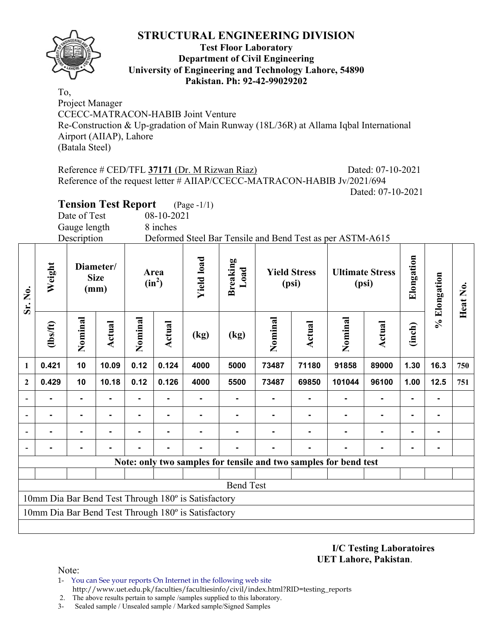

#### **Test Floor Laboratory Department of Civil Engineering University of Engineering and Technology Lahore, 54890 Pakistan. Ph: 92-42-99029202**

To, Project Manager CCECC-MATRACON-HABIB Joint Venture Re-Construction & Up-gradation of Main Runway (18L/36R) at Allama Iqbal International Airport (AIIAP), Lahore (Batala Steel)

Reference # CED/TFL 37171 (Dr. M Rizwan Riaz) Dated: 07-10-2021 Reference of the request letter # AIIAP/CCECC-MATRACON-HABIB Jv/2021/694 Dated: 07-10-2021

**Tension Test Report** (Page -1/1)

Date of Test 08-10-2021

Gauge length 8 inches

Description Deformed Steel Bar Tensile and Bend Test as per ASTM-A615

| Sr. No.                                             | Weight<br>Diameter/<br><b>Size</b><br>(mm)          |                |        |         | Area<br>$(in^2)$ | <b>Yield load</b><br><b>Breaking</b><br>Load |                  | <b>Yield Stress</b><br>(psi) |                | <b>Ultimate Stress</b><br>(psi)                                  |                          | Elongation     | % Elongation | Heat No. |
|-----------------------------------------------------|-----------------------------------------------------|----------------|--------|---------|------------------|----------------------------------------------|------------------|------------------------------|----------------|------------------------------------------------------------------|--------------------------|----------------|--------------|----------|
|                                                     | (1bs/ft)                                            | Nominal        | Actual | Nominal | Actual           | (kg)                                         | (kg)             | Nominal                      | <b>Actual</b>  | Nominal                                                          | Actual                   | (inch)         |              |          |
| 1                                                   | 0.421                                               | 10             | 10.09  | 0.12    | 0.124            | 4000                                         | 5000             | 73487                        | 71180          | 91858                                                            | 89000                    | 1.30           | 16.3         | 750      |
| $\overline{2}$                                      | 0.429                                               | 10             | 10.18  | 0.12    | 0.126            | 4000                                         | 5500             | 73487                        | 69850          | 101044                                                           | 96100                    | 1.00           | 12.5         | 751      |
|                                                     | $\blacksquare$                                      | $\blacksquare$ |        | ۰       | $\blacksquare$   |                                              |                  |                              | $\blacksquare$ |                                                                  | $\blacksquare$           | $\blacksquare$ |              |          |
|                                                     | $\blacksquare$                                      | $\blacksquare$ | -      | ۰       | $\blacksquare$   |                                              |                  |                              |                |                                                                  | $\overline{\phantom{a}}$ | $\blacksquare$ |              |          |
|                                                     |                                                     |                |        |         |                  |                                              |                  |                              |                |                                                                  | $\blacksquare$           | ۰              |              |          |
|                                                     |                                                     |                |        |         |                  |                                              |                  |                              |                |                                                                  |                          |                |              |          |
|                                                     |                                                     |                |        |         |                  |                                              |                  |                              |                | Note: only two samples for tensile and two samples for bend test |                          |                |              |          |
|                                                     |                                                     |                |        |         |                  |                                              |                  |                              |                |                                                                  |                          |                |              |          |
|                                                     |                                                     |                |        |         |                  |                                              | <b>Bend Test</b> |                              |                |                                                                  |                          |                |              |          |
| 10mm Dia Bar Bend Test Through 180° is Satisfactory |                                                     |                |        |         |                  |                                              |                  |                              |                |                                                                  |                          |                |              |          |
|                                                     | 10mm Dia Bar Bend Test Through 180° is Satisfactory |                |        |         |                  |                                              |                  |                              |                |                                                                  |                          |                |              |          |
|                                                     |                                                     |                |        |         |                  |                                              |                  |                              |                |                                                                  |                          |                |              |          |

**I/C Testing Laboratoires UET Lahore, Pakistan**.

- 1- You can See your reports On Internet in the following web site http://www.uet.edu.pk/faculties/facultiesinfo/civil/index.html?RID=testing\_reports
- 2. The above results pertain to sample /samples supplied to this laboratory.
- 3- Sealed sample / Unsealed sample / Marked sample/Signed Samples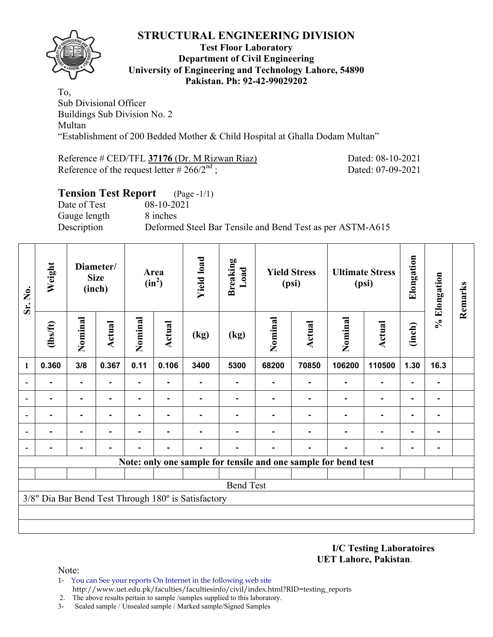

#### **Test Floor Laboratory Department of Civil Engineering University of Engineering and Technology Lahore, 54890 Pakistan. Ph: 92-42-99029202**

To, Sub Divisional Officer Buildings Sub Division No. 2 Multan "Establishment of 200 Bedded Mother & Child Hospital at Ghalla Dodam Multan"

| Reference # CED/TFL 37176 (Dr. M Rizwan Riaz)    | Dated: 08-10-2021 |
|--------------------------------------------------|-------------------|
| Reference of the request letter # $266/2^{nd}$ ; | Dated: 07-09-2021 |

## **Tension Test Report** (Page -1/1)

Date of Test 08-10-2021 Gauge length 8 inches Description Deformed Steel Bar Tensile and Bend Test as per ASTM-A615

| Sr. No.        | Weight                                              |                | Diameter/<br><b>Size</b><br>(inch) |         |                | Area<br>$(in^2)$ |                  | <b>Yield load</b><br><b>Breaking</b><br>Load<br><b>Yield Stress</b><br>(psi) |               | <b>Ultimate Stress</b><br>(psi)                                |                | Elongation | % Elongation   | Remarks |
|----------------|-----------------------------------------------------|----------------|------------------------------------|---------|----------------|------------------|------------------|------------------------------------------------------------------------------|---------------|----------------------------------------------------------------|----------------|------------|----------------|---------|
|                | (1bs/ft)                                            | Nominal        | <b>Actual</b>                      | Nominal | <b>Actual</b>  | (kg)             | (kg)             | Nominal                                                                      | <b>Actual</b> | Nominal                                                        | Actual         | (inch)     |                |         |
| $\mathbf{1}$   | 0.360                                               | 3/8            | 0.367                              | 0.11    | 0.106          | 3400             | 5300             | 68200                                                                        | 70850         | 106200                                                         | 110500         | 1.30       | 16.3           |         |
|                |                                                     |                |                                    |         |                |                  |                  |                                                                              |               |                                                                | $\blacksquare$ |            |                |         |
| $\blacksquare$ |                                                     |                |                                    |         | ۰              |                  |                  |                                                                              | ٠             | $\blacksquare$                                                 | ۰              | ۰          |                |         |
| $\blacksquare$ |                                                     |                |                                    |         | ٠              |                  |                  |                                                                              |               |                                                                | ۰              | ۰          | -              |         |
|                |                                                     | $\blacksquare$ | $\blacksquare$                     | ٠       | ۰              |                  |                  |                                                                              | ٠             | $\blacksquare$                                                 | $\blacksquare$ | ۰          | $\blacksquare$ |         |
|                |                                                     | $\blacksquare$ | ۰                                  |         | $\blacksquare$ |                  |                  |                                                                              | ٠             | $\blacksquare$                                                 | $\blacksquare$ | ۰          | $\blacksquare$ |         |
|                |                                                     |                |                                    |         |                |                  |                  |                                                                              |               | Note: only one sample for tensile and one sample for bend test |                |            |                |         |
|                |                                                     |                |                                    |         |                |                  |                  |                                                                              |               |                                                                |                |            |                |         |
|                |                                                     |                |                                    |         |                |                  | <b>Bend Test</b> |                                                                              |               |                                                                |                |            |                |         |
|                | 3/8" Dia Bar Bend Test Through 180° is Satisfactory |                |                                    |         |                |                  |                  |                                                                              |               |                                                                |                |            |                |         |
|                |                                                     |                |                                    |         |                |                  |                  |                                                                              |               |                                                                |                |            |                |         |
|                |                                                     |                |                                    |         |                |                  |                  |                                                                              |               |                                                                |                |            |                |         |

**I/C Testing Laboratoires UET Lahore, Pakistan**.

Note:

1- You can See your reports On Internet in the following web site http://www.uet.edu.pk/faculties/facultiesinfo/civil/index.html?RID=testing\_reports

2. The above results pertain to sample /samples supplied to this laboratory.

3- Sealed sample / Unsealed sample / Marked sample/Signed Samples